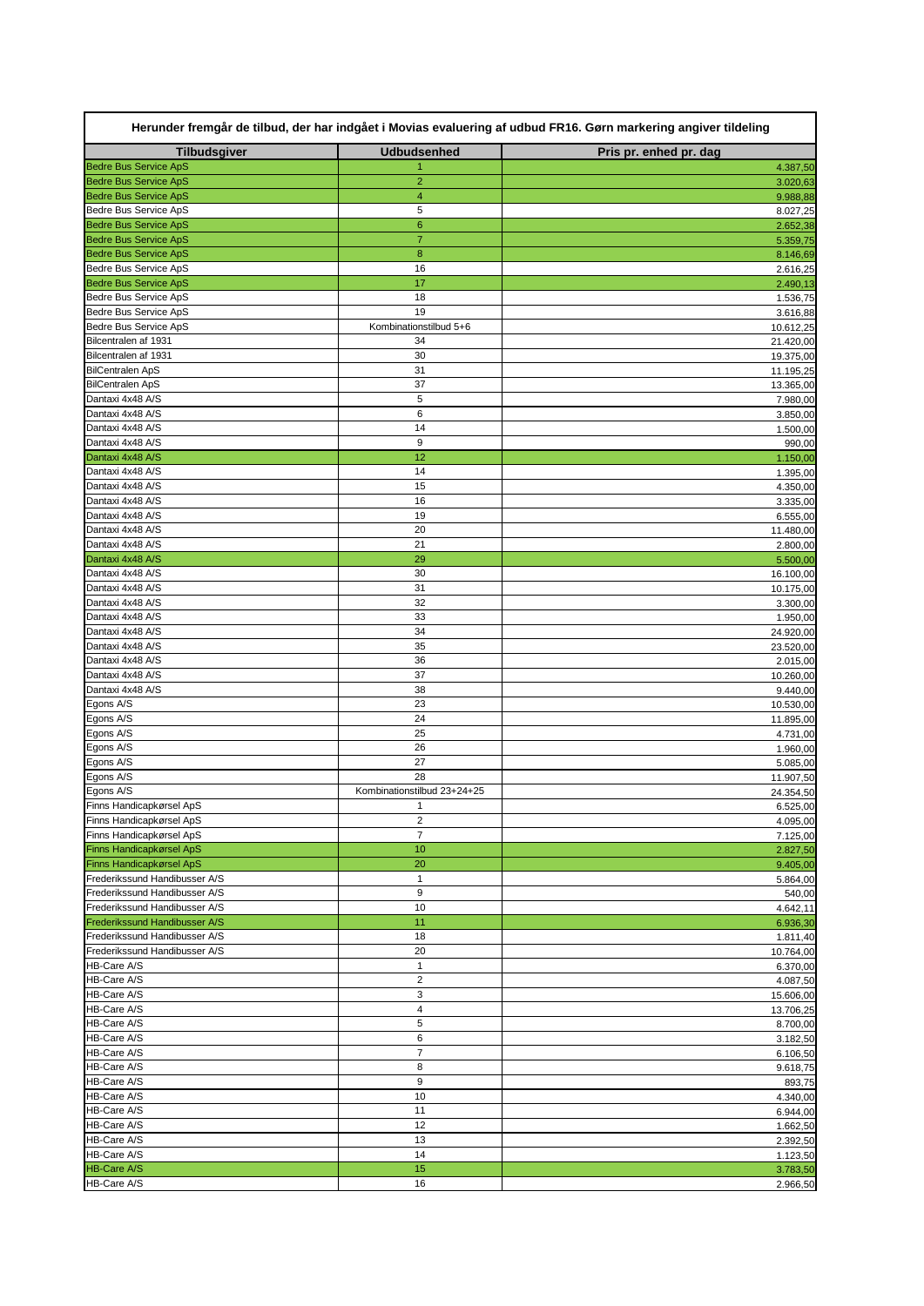| Herunder fremgår de tilbud, der har indgået i Movias evaluering af udbud FR16. Gørn markering angiver tildeling |                                           |                        |  |
|-----------------------------------------------------------------------------------------------------------------|-------------------------------------------|------------------------|--|
| <b>Tilbudsgiver</b>                                                                                             | <b>Udbudsenhed</b>                        | Pris pr. enhed pr. dag |  |
| <b>Bedre Bus Service ApS</b>                                                                                    |                                           | 4.387,50               |  |
| <b>Bedre Bus Service ApS</b><br><b>Bedre Bus Service ApS</b>                                                    | $\overline{2}$<br>$\overline{\mathbf{4}}$ | 3.020,63               |  |
| Bedre Bus Service ApS                                                                                           | 5                                         | 9.988,88<br>8.027,25   |  |
| <b>Bedre Bus Service ApS</b>                                                                                    | $\mathbf 6$                               | 2.652,38               |  |
| <b>Bedre Bus Service ApS</b>                                                                                    | $\overline{7}$                            | 5.359,75               |  |
| <b>Bedre Bus Service ApS</b>                                                                                    | 8                                         | 8.146,69               |  |
| Bedre Bus Service ApS                                                                                           | 16                                        | 2.616,25               |  |
| <b>Bedre Bus Service ApS</b>                                                                                    | 17                                        | 2.490,13               |  |
| Bedre Bus Service ApS                                                                                           | 18                                        | 1.536,75               |  |
| Bedre Bus Service ApS                                                                                           | 19                                        | 3.616,88               |  |
| Bedre Bus Service ApS                                                                                           | Kombinationstilbud 5+6                    | 10.612,25              |  |
| Bilcentralen af 1931                                                                                            | 34                                        | 21.420,00              |  |
| Bilcentralen af 1931                                                                                            | 30                                        | 19.375,00              |  |
| <b>BilCentralen ApS</b>                                                                                         | 31                                        | 11.195,25              |  |
| <b>BilCentralen ApS</b><br>Dantaxi 4x48 A/S                                                                     | 37<br>5                                   | 13.365,00<br>7.980,00  |  |
| Dantaxi 4x48 A/S                                                                                                | 6                                         |                        |  |
| Dantaxi 4x48 A/S                                                                                                | 14                                        | 3.850,00<br>1.500,00   |  |
| Dantaxi 4x48 A/S                                                                                                | $\boldsymbol{9}$                          | 990,00                 |  |
| Dantaxi 4x48 A/S                                                                                                | 12                                        | 1.150,00               |  |
| Dantaxi 4x48 A/S                                                                                                | 14                                        | 1.395,00               |  |
| Dantaxi 4x48 A/S                                                                                                | 15                                        | 4.350,00               |  |
| Dantaxi 4x48 A/S                                                                                                | 16                                        | 3.335,00               |  |
| Dantaxi 4x48 A/S                                                                                                | 19                                        | 6.555,00               |  |
| Dantaxi 4x48 A/S                                                                                                | 20                                        | 11.480,00              |  |
| Dantaxi 4x48 A/S                                                                                                | 21                                        | 2.800,00               |  |
| Dantaxi 4x48 A/S                                                                                                | 29                                        | 5.500,00               |  |
| Dantaxi 4x48 A/S                                                                                                | 30                                        | 16.100,00              |  |
| Dantaxi 4x48 A/S                                                                                                | 31                                        | 10.175,00              |  |
| Dantaxi 4x48 A/S                                                                                                | 32                                        | 3.300,00               |  |
| Dantaxi 4x48 A/S                                                                                                | 33                                        | 1.950,00               |  |
| Dantaxi 4x48 A/S<br>Dantaxi 4x48 A/S                                                                            | 34                                        | 24.920,00              |  |
| Dantaxi 4x48 A/S                                                                                                | 35<br>36                                  | 23.520,00              |  |
| Dantaxi 4x48 A/S                                                                                                | 37                                        | 2.015,00<br>10.260,00  |  |
| Dantaxi 4x48 A/S                                                                                                | 38                                        | 9.440,00               |  |
| Egons A/S                                                                                                       | 23                                        | 10.530,00              |  |
| Egons A/S                                                                                                       | 24                                        | 11.895,00              |  |
| Egons A/S                                                                                                       | 25                                        | 4.731,00               |  |
| Egons A/S                                                                                                       | 26                                        | 1.960,00               |  |
| Egons A/S                                                                                                       | 27                                        | 5.085,00               |  |
| Egons A/S                                                                                                       | 28                                        | 11.907,50              |  |
| Egons A/S                                                                                                       | Kombinationstilbud 23+24+25               | 24.354,50              |  |
| Finns Handicapkørsel ApS                                                                                        | 1                                         | 6.525,00               |  |
| Finns Handicapkørsel ApS                                                                                        | $\overline{c}$                            | 4.095,00               |  |
| Finns Handicapkørsel ApS                                                                                        | $\overline{7}$                            | 7.125,00               |  |
| Finns Handicapkørsel ApS                                                                                        | 10                                        | 2.827,50               |  |
| Finns Handicapkørsel ApS                                                                                        | 20                                        | 9.405,00               |  |
| Frederikssund Handibusser A/S<br>Frederikssund Handibusser A/S                                                  | 1<br>$\boldsymbol{9}$                     | 5.864,00               |  |
| Frederikssund Handibusser A/S                                                                                   | 10                                        | 540,00<br>4.642,11     |  |
| <b>Frederikssund Handibusser A/S</b>                                                                            | 11                                        | 6.936,30               |  |
| Frederikssund Handibusser A/S                                                                                   | 18                                        | 1.811,40               |  |
| Frederikssund Handibusser A/S                                                                                   | 20                                        | 10.764,00              |  |
| <b>HB-Care A/S</b>                                                                                              | 1                                         | 6.370,00               |  |
| HB-Care A/S                                                                                                     | $\overline{c}$                            | 4.087,50               |  |
| HB-Care A/S                                                                                                     | 3                                         | 15.606,00              |  |
| HB-Care A/S                                                                                                     | 4                                         | 13.706,25              |  |
| HB-Care A/S                                                                                                     | 5                                         | 8.700,00               |  |
| HB-Care A/S                                                                                                     | 6                                         | 3.182,50               |  |
| <b>HB-Care A/S</b>                                                                                              | $\overline{7}$                            | 6.106,50               |  |
| <b>HB-Care A/S</b>                                                                                              | 8                                         | 9.618,75               |  |
| <b>HB-Care A/S</b>                                                                                              | $\boldsymbol{9}$                          | 893,75                 |  |
| HB-Care A/S                                                                                                     | 10                                        | 4.340,00               |  |
| HB-Care A/S                                                                                                     | 11                                        | 6.944,00               |  |
| HB-Care A/S                                                                                                     | 12                                        | 1.662,50               |  |
| HB-Care A/S<br><b>HB-Care A/S</b>                                                                               | 13<br>14                                  | 2.392,50               |  |
| <b>HB-Care A/S</b>                                                                                              | 15                                        | 1.123,50<br>3.783,50   |  |
| <b>HB-Care A/S</b>                                                                                              | 16                                        | 2.966,50               |  |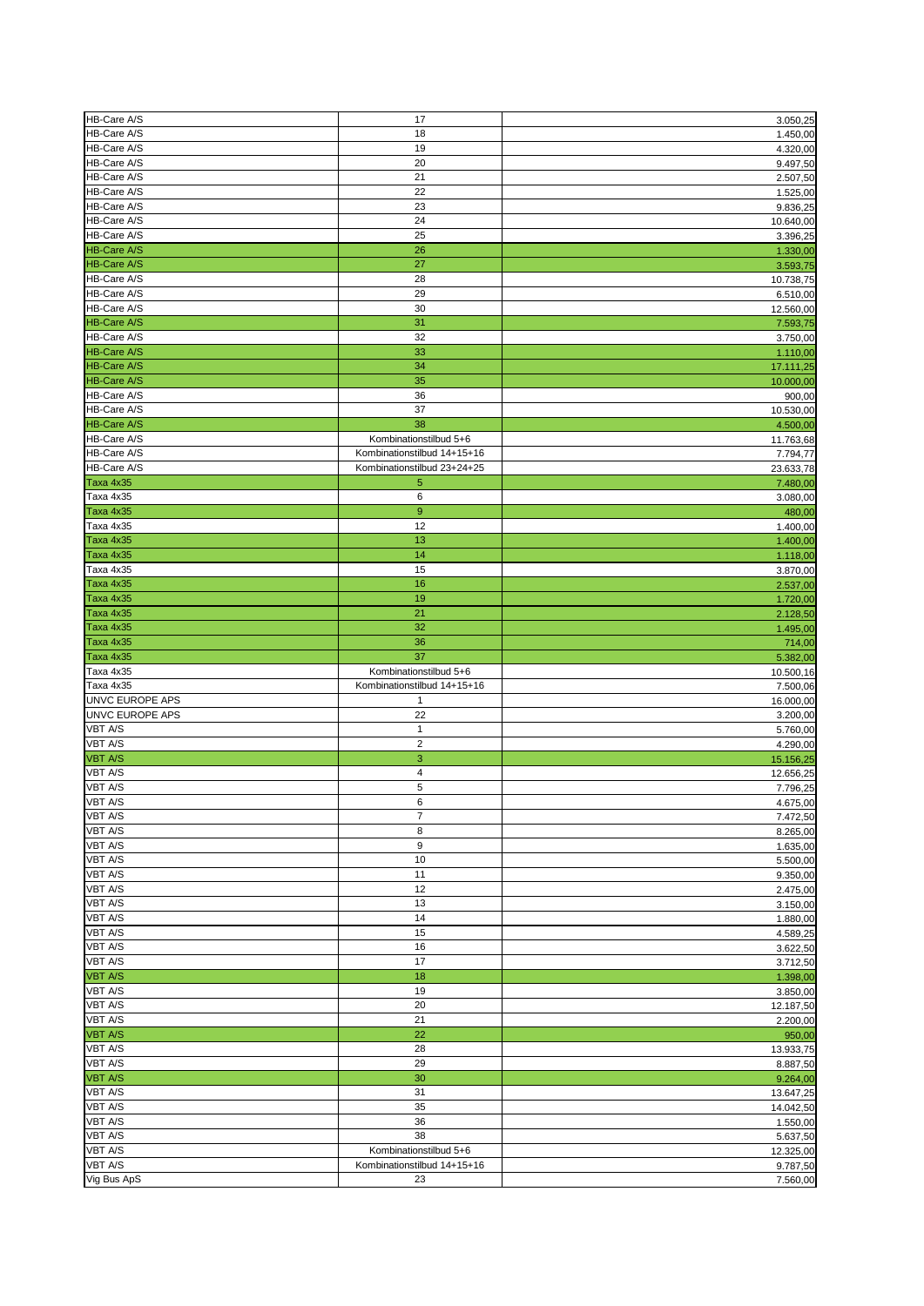| HB-Care A/S                   |                                   |                                   |
|-------------------------------|-----------------------------------|-----------------------------------|
|                               | 17                                | 3.050,25                          |
| HB-Care A/S                   | 18                                | 1.450,00                          |
| HB-Care A/S                   | 19                                | 4.320,00                          |
| HB-Care A/S                   | 20                                | 9.497,50                          |
| HB-Care A/S                   |                                   |                                   |
|                               | 21                                | 2.507,50                          |
| HB-Care A/S                   | 22                                | 1.525,00                          |
| HB-Care A/S                   | 23                                | 9.836,25                          |
| HB-Care A/S                   | 24                                | 10.640,00                         |
|                               |                                   |                                   |
| HB-Care A/S                   | 25                                | 3.396,25                          |
| <b>HB-Care A/S</b>            | 26                                | 1.330,00                          |
| <b>HB-Care A/S</b>            | 27                                | 3.593,75                          |
| HB-Care A/S                   | 28                                | 10.738,75                         |
| HB-Care A/S                   | 29                                |                                   |
|                               |                                   | 6.510,00                          |
| HB-Care A/S                   | 30                                | 12.560,00                         |
| <b>HB-Care A/S</b>            | 31                                | 7.593,75                          |
| HB-Care A/S                   | 32                                | 3.750,00                          |
| <b>HB-Care A/S</b>            | 33                                | 1.110,00                          |
| <b>HB-Care A/S</b>            | 34                                | 17.111,25                         |
| <b>HB-Care A/S</b>            | 35                                |                                   |
|                               |                                   | 10.000,00                         |
| HB-Care A/S                   | 36                                | 900,00                            |
| HB-Care A/S                   | 37                                | 10.530,00                         |
| <b>HB-Care A/S</b>            | 38                                | 4.500,00                          |
| HB-Care A/S                   | Kombinationstilbud 5+6            | 11.763,68                         |
| HB-Care A/S                   | Kombinationstilbud 14+15+16       |                                   |
|                               |                                   | 7.794,77                          |
| HB-Care A/S                   | Kombinationstilbud 23+24+25       | 23.633,78                         |
| Taxa 4x35                     | 5                                 | 7.480,00                          |
| Taxa 4x35                     | 6                                 | 3.080,00                          |
| Taxa 4x35                     | 9                                 | 480,00                            |
| Taxa 4x35                     | 12                                |                                   |
|                               |                                   | 1.400,00                          |
| Taxa 4x35                     | 13                                | 1.400,00                          |
| Taxa 4x35                     | 14                                | 1.118,00                          |
| Taxa 4x35                     | 15                                | 3.870,00                          |
| Taxa 4x35                     | 16                                | 2.537,00                          |
| Taxa 4x35                     | 19                                |                                   |
|                               |                                   | 1.720,00                          |
| Taxa 4x35                     | 21                                | 2.128,50                          |
| Taxa 4x35                     | 32                                | 1.495,00                          |
| Taxa 4x35                     | 36                                | 714,00                            |
|                               |                                   |                                   |
|                               |                                   |                                   |
| Taxa 4x35                     | 37                                | 5.382,00                          |
| Taxa 4x35                     | Kombinationstilbud 5+6            | 10.500,16                         |
| Taxa 4x35                     | Kombinationstilbud 14+15+16       | 7.500,06                          |
| <b>UNVC EUROPE APS</b>        | $\mathbf{1}$                      | 16.000,00                         |
| <b>UNVC EUROPE APS</b>        | 22                                | 3.200,00                          |
| <b>VBT A/S</b>                | 1                                 |                                   |
|                               |                                   | 5.760,00                          |
| <b>VBT A/S</b>                | $\overline{2}$                    | 4.290,00                          |
| VBT A/S                       | $\mathbf 3$                       | 15.156,25                         |
| <b>VBT A/S</b>                | $\overline{\mathbf{4}}$           | 12.656,25                         |
| <b>VBT A/S</b>                | 5                                 | 7.796,25                          |
| <b>VBT A/S</b>                | 6                                 |                                   |
|                               | $\overline{7}$                    | 4.675,00                          |
| <b>VBT A/S</b>                |                                   | 7.472,50                          |
| <b>VBT A/S</b>                | 8                                 | 8.265,00                          |
| <b>VBT A/S</b>                | 9                                 | 1.635,00                          |
| <b>VBT A/S</b>                | 10                                | 5.500,00                          |
| <b>VBT A/S</b>                | 11                                | 9.350,00                          |
| <b>VBT A/S</b>                | 12                                | 2.475,00                          |
|                               |                                   |                                   |
| <b>VBT A/S</b>                | 13                                | 3.150,00                          |
| <b>VBT A/S</b>                | 14                                | 1.880,00                          |
| <b>VBT A/S</b>                | 15                                | 4.589,25                          |
| <b>VBT A/S</b>                | 16                                | 3.622,50                          |
| <b>VBT A/S</b>                | 17                                | 3.712,50                          |
| <b>VBT A/S</b>                | 18                                | 1.398,00                          |
|                               |                                   |                                   |
| <b>VBT A/S</b>                | 19                                | 3.850,00                          |
| <b>VBT A/S</b>                | 20                                |                                   |
| <b>VBT A/S</b>                | 21                                | 12.187,50<br>2.200,00             |
| <b>VBT A/S</b>                | 22                                | 950,00                            |
| <b>VBT A/S</b>                | 28                                | 13.933,75                         |
|                               | 29                                |                                   |
| <b>VBT A/S</b>                |                                   | 8.887,50                          |
| <b>VBT A/S</b>                | 30                                | 9.264,00                          |
| <b>VBT A/S</b>                | 31                                | 13.647,25                         |
| <b>VBT A/S</b>                | 35                                |                                   |
| <b>VBT A/S</b>                | 36                                | 1.550,00                          |
| <b>VBT A/S</b>                | 38                                |                                   |
|                               |                                   | 5.637,50                          |
| <b>VBT A/S</b>                | Kombinationstilbud 5+6            | 12.325,00                         |
| <b>VBT A/S</b><br>Vig Bus ApS | Kombinationstilbud 14+15+16<br>23 | 14.042,50<br>9.787,50<br>7.560,00 |